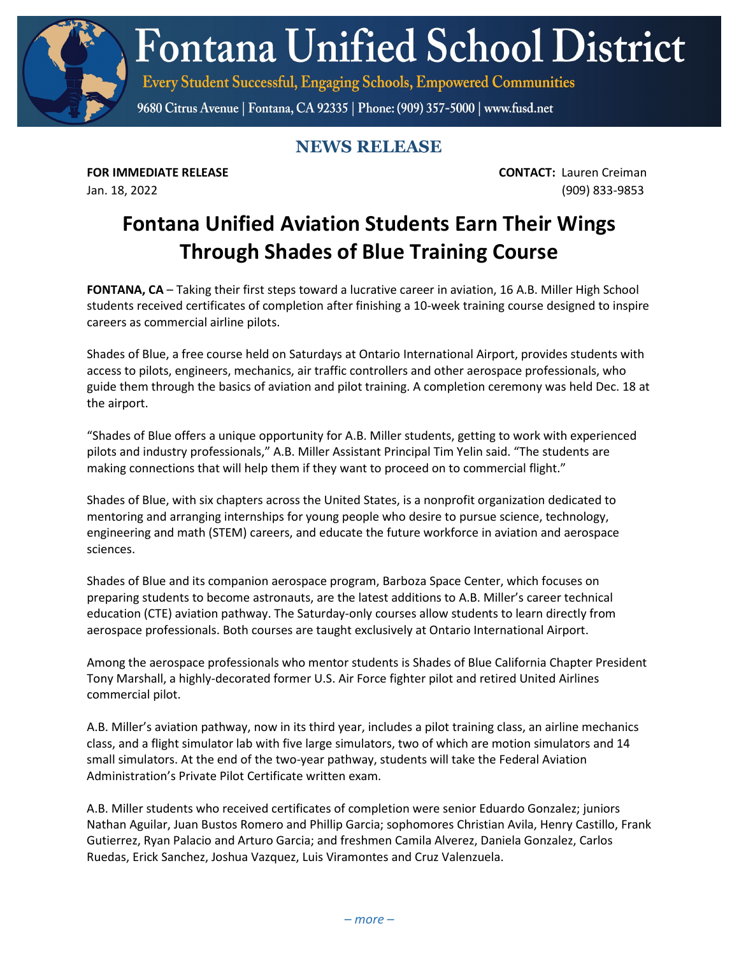**Fontana Unified School District** 

Every Student Successful, Engaging Schools, Empowered Communities

9680 Citrus Avenue | Fontana, CA 92335 | Phone: (909) 357-5000 | www.fusd.net

## **NEWS RELEASE**

**FOR IMMEDIATE RELEASE CONTACT:** Lauren Creiman Jan. 18, 2022 (909) 833-9853

## **Fontana Unified Aviation Students Earn Their Wings Through Shades of Blue Training Course**

**FONTANA, CA** – Taking their first steps toward a lucrative career in aviation, 16 A.B. Miller High School students received certificates of completion after finishing a 10-week training course designed to inspire careers as commercial airline pilots.

Shades of Blue, a free course held on Saturdays at Ontario International Airport, provides students with access to pilots, engineers, mechanics, air traffic controllers and other aerospace professionals, who guide them through the basics of aviation and pilot training. A completion ceremony was held Dec. 18 at the airport.

"Shades of Blue offers a unique opportunity for A.B. Miller students, getting to work with experienced pilots and industry professionals," A.B. Miller Assistant Principal Tim Yelin said. "The students are making connections that will help them if they want to proceed on to commercial flight."

Shades of Blue, with six chapters across the United States, is a nonprofit organization dedicated to mentoring and arranging internships for young people who desire to pursue science, technology, engineering and math (STEM) careers, and educate the future workforce in aviation and aerospace sciences.

Shades of Blue and its companion aerospace program, Barboza Space Center, which focuses on preparing students to become astronauts, are the latest additions to A.B. Miller's career technical education (CTE) aviation pathway. The Saturday-only courses allow students to learn directly from aerospace professionals. Both courses are taught exclusively at Ontario International Airport.

Among the aerospace professionals who mentor students is Shades of Blue California Chapter President Tony Marshall, a highly-decorated former U.S. Air Force fighter pilot and retired United Airlines commercial pilot.

A.B. Miller's aviation pathway, now in its third year, includes a pilot training class, an airline mechanics class, and a flight simulator lab with five large simulators, two of which are motion simulators and 14 small simulators. At the end of the two-year pathway, students will take the Federal Aviation Administration's Private Pilot Certificate written exam.

A.B. Miller students who received certificates of completion were senior Eduardo Gonzalez; juniors Nathan Aguilar, Juan Bustos Romero and Phillip Garcia; sophomores Christian Avila, Henry Castillo, Frank Gutierrez, Ryan Palacio and Arturo Garcia; and freshmen Camila Alverez, Daniela Gonzalez, Carlos Ruedas, Erick Sanchez, Joshua Vazquez, Luis Viramontes and Cruz Valenzuela.